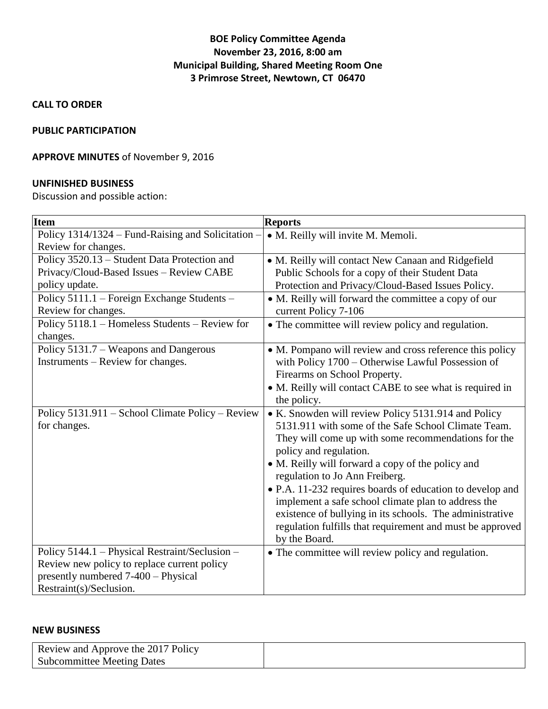## **BOE Policy Committee Agenda November 23, 2016, 8:00 am Municipal Building, Shared Meeting Room One 3 Primrose Street, Newtown, CT 06470**

**CALL TO ORDER**

### **PUBLIC PARTICIPATION**

### **APPROVE MINUTES** of November 9, 2016

#### **UNFINISHED BUSINESS**

Discussion and possible action:

| <b>Item</b>                                        | <b>Reports</b>                                            |
|----------------------------------------------------|-----------------------------------------------------------|
| Policy 1314/1324 – Fund-Raising and Solicitation - | · M. Reilly will invite M. Memoli.                        |
| Review for changes.                                |                                                           |
| Policy 3520.13 - Student Data Protection and       | • M. Reilly will contact New Canaan and Ridgefield        |
| Privacy/Cloud-Based Issues - Review CABE           | Public Schools for a copy of their Student Data           |
| policy update.                                     | Protection and Privacy/Cloud-Based Issues Policy.         |
| Policy 5111.1 - Foreign Exchange Students -        | • M. Reilly will forward the committee a copy of our      |
| Review for changes.                                | current Policy 7-106                                      |
| Policy 5118.1 - Homeless Students - Review for     | • The committee will review policy and regulation.        |
| changes.                                           |                                                           |
| Policy 5131.7 – Weapons and Dangerous              | • M. Pompano will review and cross reference this policy  |
| Instruments – Review for changes.                  | with Policy 1700 - Otherwise Lawful Possession of         |
|                                                    | Firearms on School Property.                              |
|                                                    | • M. Reilly will contact CABE to see what is required in  |
|                                                    | the policy.                                               |
| Policy 5131.911 – School Climate Policy – Review   | • K. Snowden will review Policy 5131.914 and Policy       |
| for changes.                                       | 5131.911 with some of the Safe School Climate Team.       |
|                                                    | They will come up with some recommendations for the       |
|                                                    | policy and regulation.                                    |
|                                                    | • M. Reilly will forward a copy of the policy and         |
|                                                    | regulation to Jo Ann Freiberg.                            |
|                                                    | • P.A. 11-232 requires boards of education to develop and |
|                                                    | implement a safe school climate plan to address the       |
|                                                    | existence of bullying in its schools. The administrative  |
|                                                    | regulation fulfills that requirement and must be approved |
|                                                    | by the Board.                                             |
| Policy 5144.1 - Physical Restraint/Seclusion -     | • The committee will review policy and regulation.        |
| Review new policy to replace current policy        |                                                           |
| presently numbered 7-400 - Physical                |                                                           |
| Restraint(s)/Seclusion.                            |                                                           |

#### **NEW BUSINESS**

| Review and Approve the 2017 Policy |  |
|------------------------------------|--|
| <b>Subcommittee Meeting Dates</b>  |  |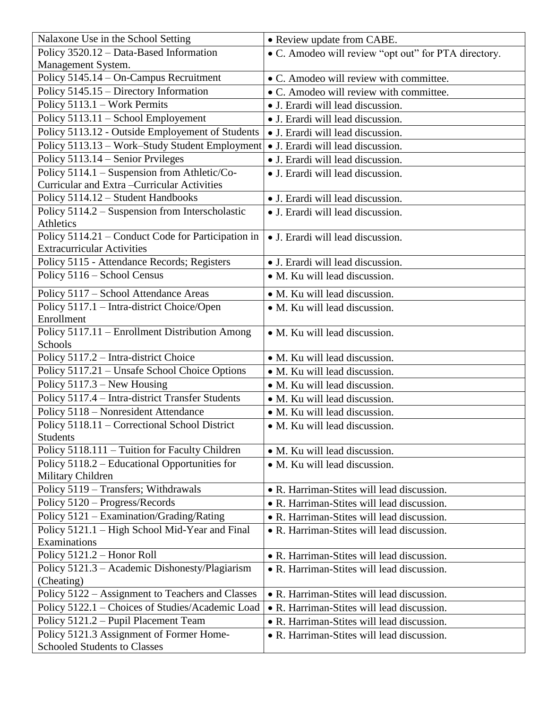| Nalaxone Use in the School Setting                               | • Review update from CABE.                           |
|------------------------------------------------------------------|------------------------------------------------------|
| Policy 3520.12 - Data-Based Information                          | • C. Amodeo will review "opt out" for PTA directory. |
| Management System.                                               |                                                      |
| Policy 5145.14 - On-Campus Recruitment                           | • C. Amodeo will review with committee.              |
| Policy 5145.15 - Directory Information                           | • C. Amodeo will review with committee.              |
| Policy 5113.1 - Work Permits                                     | • J. Erardi will lead discussion.                    |
| Policy 5113.11 – School Employement                              | • J. Erardi will lead discussion.                    |
| Policy 5113.12 - Outside Employement of Students                 | • J. Erardi will lead discussion.                    |
| Policy 5113.13 - Work-Study Student Employment                   | • J. Erardi will lead discussion.                    |
| Policy 5113.14 – Senior Prvileges                                | • J. Erardi will lead discussion.                    |
| Policy 5114.1 - Suspension from Athletic/Co-                     | • J. Erardi will lead discussion.                    |
| Curricular and Extra-Curricular Activities                       |                                                      |
| Policy 5114.12 - Student Handbooks                               | • J. Erardi will lead discussion.                    |
| Policy 5114.2 – Suspension from Interscholastic                  | • J. Erardi will lead discussion.                    |
| Athletics                                                        |                                                      |
| Policy 5114.21 - Conduct Code for Participation in               | • J. Erardi will lead discussion.                    |
| <b>Extracurricular Activities</b>                                |                                                      |
| Policy 5115 - Attendance Records; Registers                      | • J. Erardi will lead discussion.                    |
| Policy 5116 - School Census                                      | • M. Ku will lead discussion.                        |
| Policy 5117 - School Attendance Areas                            | • M. Ku will lead discussion.                        |
| Policy 5117.1 - Intra-district Choice/Open<br>Enrollment         | • M. Ku will lead discussion.                        |
| Policy 5117.11 - Enrollment Distribution Among                   | • M. Ku will lead discussion.                        |
| Schools                                                          |                                                      |
| Policy 5117.2 - Intra-district Choice                            | • M. Ku will lead discussion.                        |
| Policy 5117.21 - Unsafe School Choice Options                    | • M. Ku will lead discussion.                        |
| Policy 5117.3 - New Housing                                      | • M. Ku will lead discussion.                        |
| Policy 5117.4 - Intra-district Transfer Students                 | • M. Ku will lead discussion.                        |
| Policy 5118 - Nonresident Attendance                             | • M. Ku will lead discussion.                        |
| Policy 5118.11 - Correctional School District<br><b>Students</b> | • M. Ku will lead discussion.                        |
| Policy 5118.111 – Tuition for Faculty Children                   | • M. Ku will lead discussion.                        |
| Policy 5118.2 – Educational Opportunities for                    | • M. Ku will lead discussion.                        |
| Military Children                                                |                                                      |
| Policy 5119 - Transfers; Withdrawals                             | • R. Harriman-Stites will lead discussion.           |
| Policy 5120 - Progress/Records                                   | • R. Harriman-Stites will lead discussion.           |
| Policy 5121 - Examination/Grading/Rating                         | • R. Harriman-Stites will lead discussion.           |
| Policy 5121.1 – High School Mid-Year and Final                   | • R. Harriman-Stites will lead discussion.           |
| Examinations                                                     |                                                      |
| Policy 5121.2 - Honor Roll                                       | • R. Harriman-Stites will lead discussion.           |
| Policy 5121.3 - Academic Dishonesty/Plagiarism                   | • R. Harriman-Stites will lead discussion.           |
| (Cheating)                                                       |                                                      |
| Policy 5122 – Assignment to Teachers and Classes                 | • R. Harriman-Stites will lead discussion.           |
| Policy 5122.1 – Choices of Studies/Academic Load                 | • R. Harriman-Stites will lead discussion.           |
| Policy 5121.2 - Pupil Placement Team                             | • R. Harriman-Stites will lead discussion.           |
| Policy 5121.3 Assignment of Former Home-                         | • R. Harriman-Stites will lead discussion.           |
| <b>Schooled Students to Classes</b>                              |                                                      |